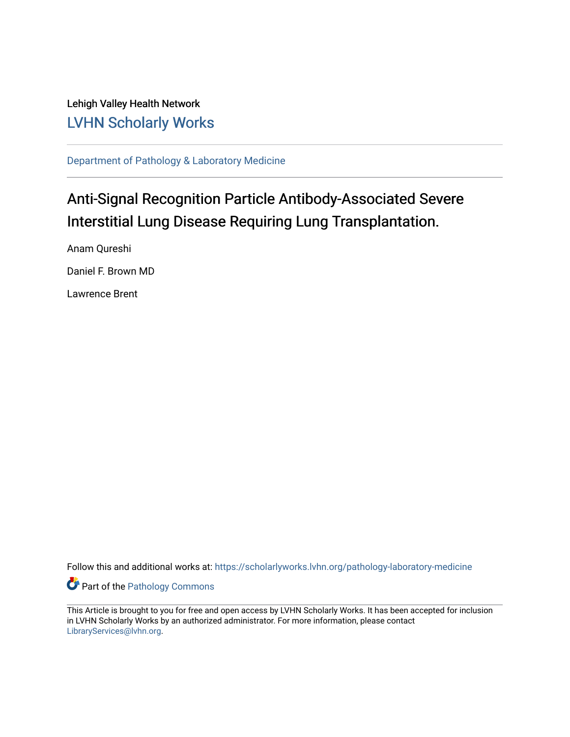Lehigh Valley Health Network [LVHN Scholarly Works](https://scholarlyworks.lvhn.org/)

[Department of Pathology & Laboratory Medicine](https://scholarlyworks.lvhn.org/pathology-laboratory-medicine) 

# Anti-Signal Recognition Particle Antibody-Associated Severe Interstitial Lung Disease Requiring Lung Transplantation.

Anam Qureshi Daniel F. Brown MD Lawrence Brent

Follow this and additional works at: [https://scholarlyworks.lvhn.org/pathology-laboratory-medicine](https://scholarlyworks.lvhn.org/pathology-laboratory-medicine?utm_source=scholarlyworks.lvhn.org%2Fpathology-laboratory-medicine%2F492&utm_medium=PDF&utm_campaign=PDFCoverPages)

**Part of the [Pathology Commons](http://network.bepress.com/hgg/discipline/699?utm_source=scholarlyworks.lvhn.org%2Fpathology-laboratory-medicine%2F492&utm_medium=PDF&utm_campaign=PDFCoverPages)** 

This Article is brought to you for free and open access by LVHN Scholarly Works. It has been accepted for inclusion in LVHN Scholarly Works by an authorized administrator. For more information, please contact [LibraryServices@lvhn.org](mailto:LibraryServices@lvhn.org).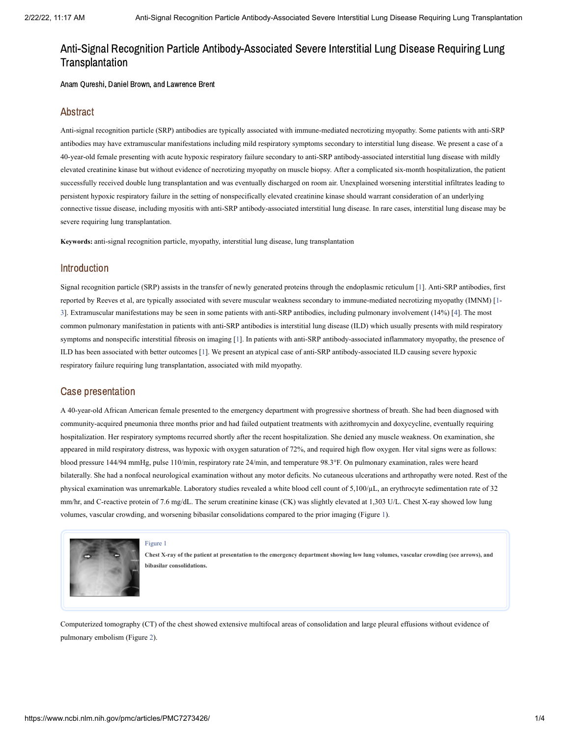# Anti-Signal Recognition Particle Antibody-Associated Severe Interstitial Lung Disease Requiring Lung Transplantation

Anam Qureshi, Daniel Brown, and Lawrence Brent

### Abstract

Anti-signal recognition particle (SRP) antibodies are typically associated with immune-mediated necrotizing myopathy. Some patients with anti-SRP antibodies may have extramuscular manifestations including mild respiratory symptoms secondary to interstitial lung disease. We present a case of a 40-year-old female presenting with acute hypoxic respiratory failure secondary to anti-SRP antibody-associated interstitial lung disease with mildly elevated creatinine kinase but without evidence of necrotizing myopathy on muscle biopsy. After a complicated six-month hospitalization, the patient successfully received double lung transplantation and was eventually discharged on room air. Unexplained worsening interstitial infiltrates leading to persistent hypoxic respiratory failure in the setting of nonspecifically elevated creatinine kinase should warrant consideration of an underlying connective tissue disease, including myositis with anti-SRP antibody-associated interstitial lung disease. In rare cases, interstitial lung disease may be severe requiring lung transplantation.

**Keywords:** anti-signal recognition particle, myopathy, interstitial lung disease, lung transplantation

# Introduction

Signal recognition particle (SRP) assists in the transfer of newly generated proteins through the endoplasmic reticulum [[1\]](#page-4-0). Anti-SRP antibodies, first reported by Reeves et al, are typically associated with severe muscular weakness secondary to immune-mediated necrotizing myopathy (IMNM) [[1-](#page-4-0) [3\]](#page-4-1). Extramuscular manifestations may be seen in some patients with anti-SRP antibodies, including pulmonary involvement (14%) [[4\]](#page-4-2). The most common pulmonary manifestation in patients with anti-SRP antibodies is interstitial lung disease (ILD) which usually presents with mild respiratory symptoms and nonspecific interstitial fibrosis on imaging [\[1\]](#page-4-0). In patients with anti-SRP antibody-associated inflammatory myopathy, the presence of ILD has been associated with better outcomes [\[1\]](#page-4-0). We present an atypical case of anti-SRP antibody-associated ILD causing severe hypoxic respiratory failure requiring lung transplantation, associated with mild myopathy.

### Case presentation

A 40-year-old African American female presented to the emergency department with progressive shortness of breath. She had been diagnosed with community-acquired pneumonia three months prior and had failed outpatient treatments with azithromycin and doxycycline, eventually requiring hospitalization. Her respiratory symptoms recurred shortly after the recent hospitalization. She denied any muscle weakness. On examination, she appeared in mild respiratory distress, was hypoxic with oxygen saturation of 72%, and required high flow oxygen. Her vital signs were as follows: blood pressure 144/94 mmHg, pulse 110/min, respiratory rate 24/min, and temperature 98.3°F. On pulmonary examination, rales were heard bilaterally. She had a nonfocal neurological examination without any motor deficits. No cutaneous ulcerations and arthropathy were noted. Rest of the physical examination was unremarkable. Laboratory studies revealed a white blood cell count of 5,100/µL, an erythrocyte sedimentation rate of 32 mm/hr, and C-reactive protein of 7.6 mg/dL. The serum creatinine kinase (CK) was slightly elevated at 1,303 U/L. Chest X-ray showed low lung volumes, vascular crowding, and worsening bibasilar consolidations compared to the prior imaging [\(Figure](https://www.ncbi.nlm.nih.gov/pmc/articles/PMC7273426/figure/FIG1/?report=objectonly) 1).



[Figure](https://www.ncbi.nlm.nih.gov/pmc/articles/PMC7273426/figure/FIG1/?report=objectonly) 1

Chest X-ray of the patient at presentation to the emergency department showing low lung volumes, vascular crowding (see arrows), and **bibasilar consolidations.**

Computerized tomography (CT) of the chest showed extensive multifocal areas of consolidation and large pleural effusions without evidence of pulmonary embolism [\(Figure](https://www.ncbi.nlm.nih.gov/pmc/articles/PMC7273426/figure/FIG2/?report=objectonly) 2).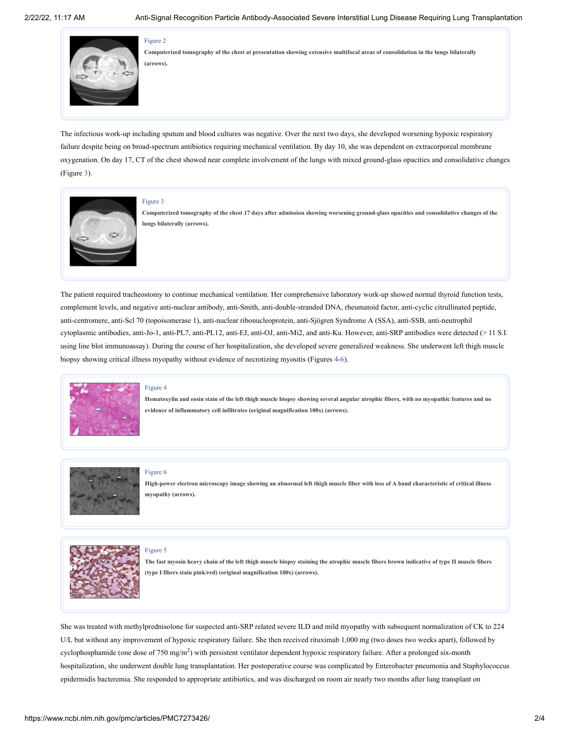#### [Figure](https://www.ncbi.nlm.nih.gov/pmc/articles/PMC7273426/figure/FIG2/?report=objectonly) 2



Computerized tomography of the chest at presentation showing extensive multifocal areas of consolidation in the lungs bilaterally **(arrows).**

The infectious work-up including sputum and blood cultures was negative. Over the next two days, she developed worsening hypoxic respiratory failure despite being on broad-spectrum antibiotics requiring mechanical ventilation. By day 10, she was dependent on extracorporeal membrane oxygenation. On day 17, CT of the chest showed near complete involvement of the lungs with mixed ground-glass opacities and consolidative changes [\(Figure](https://www.ncbi.nlm.nih.gov/pmc/articles/PMC7273426/figure/FIG3/?report=objectonly) 3).



#### [Figure](https://www.ncbi.nlm.nih.gov/pmc/articles/PMC7273426/figure/FIG3/?report=objectonly) 3

Computerized tomography of the chest 17 days after admission showing worsening ground-glass opacities and consolidative changes of the **lungs bilaterally (arrows).**

The patient required tracheostomy to continue mechanical ventilation. Her comprehensive laboratory work-up showed normal thyroid function tests, complement levels, and negative anti-nuclear antibody, anti-Smith, anti-double-stranded DNA, rheumatoid factor, anti-cyclic citrullinated peptide, anti-centromere, anti-Scl 70 (topoisomerase 1), anti-nuclear ribonucleoprotein, anti-Sjögren Syndrome A (SSA), anti-SSB, anti-neutrophil cytoplasmic antibodies, anti-Jo-1, anti-PL7, anti-PL12, anti-EJ, anti-OJ, anti-Mi2, and anti-Ku. However, anti-SRP antibodies were detected (> 11 S.I. using line blot immunoassay). During the course of her hospitalization, she developed severe generalized weakness. She underwent left thigh muscle biopsy showing critical illness myopathy without evidence of necrotizing myositis [\(Figures](https://www.ncbi.nlm.nih.gov/pmc/articles/PMC7273426/figure/FIG4/?report=objectonly) [4-6\)](https://www.ncbi.nlm.nih.gov/pmc/articles/PMC7273426/figure/FIG6/?report=objectonly).



#### [Figure](https://www.ncbi.nlm.nih.gov/pmc/articles/PMC7273426/figure/FIG4/?report=objectonly) 4

Hematoxylin and eosin stain of the left thigh muscle biopsy showing several angular atrophic fibers, with no myopathic features and no **evidence of inflammatory cell infiltrates (original magnification 100x) (arrows).**



#### [Figure](https://www.ncbi.nlm.nih.gov/pmc/articles/PMC7273426/figure/FIG6/?report=objectonly) 6

[Figure](https://www.ncbi.nlm.nih.gov/pmc/articles/PMC7273426/figure/FIG5/?report=objectonly) 5

High-power electron microscopy image showing an abnormal left thigh muscle fiber with loss of A band characteristic of critical illness **myopathy (arrows).**



The fast myosin heavy chain of the left thigh muscle biopsy staining the atrophic muscle fibers brown indicative of type II muscle fibers **(type I fibers stain pink/red) (original magnification 100x) (arrows).**

She was treated with methylprednisolone for suspected anti-SRP related severe ILD and mild myopathy with subsequent normalization of CK to 224 U/L but without any improvement of hypoxic respiratory failure. She then received rituximab 1,000 mg (two doses two weeks apart), followed by cyclophosphamide (one dose of 750 mg/m<sup>2</sup>) with persistent ventilator dependent hypoxic respiratory failure. After a prolonged six-month hospitalization, she underwent double lung transplantation. Her postoperative course was complicated by Enterobacter pneumonia and Staphylococcus epidermidis bacteremia. She responded to appropriate antibiotics, and was discharged on room air nearly two months after lung transplant on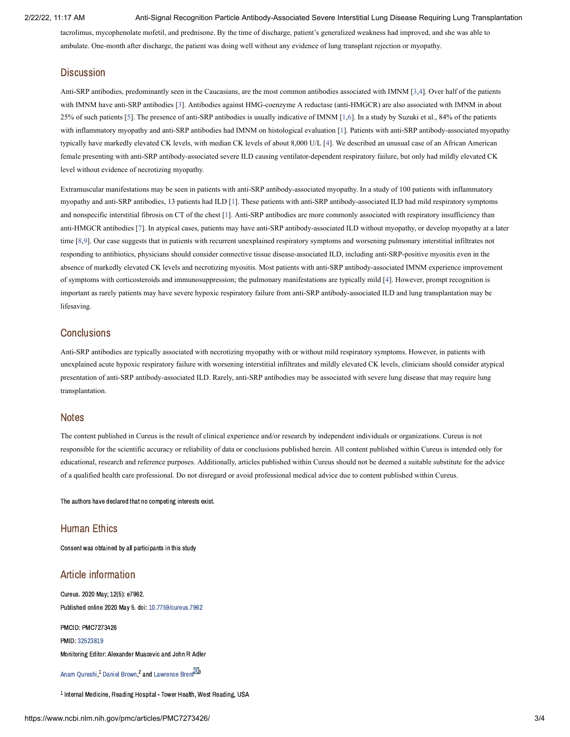#### 2/22/22, 11:17 AM Anti-Signal Recognition Particle Antibody-Associated Severe Interstitial Lung Disease Requiring Lung Transplantation

tacrolimus, mycophenolate mofetil, and prednisone. By the time of discharge, patient's generalized weakness had improved, and she was able to ambulate. One-month after discharge, the patient was doing well without any evidence of lung transplant rejection or myopathy.

# **Discussion**

Anti-SRP antibodies, predominantly seen in the Caucasians, are the most common antibodies associated with IMNM [\[3](#page-4-1)[,4](#page-4-2)]. Over half of the patients with IMNM have anti-SRP antibodies [\[3\]](#page-4-1). Antibodies against HMG-coenzyme A reductase (anti-HMGCR) are also associated with IMNM in about 25% of such patients [\[5\]](#page-4-3). The presence of anti-SRP antibodies is usually indicative of IMNM [[1,](#page-4-0)[6\]](#page-4-4). In a study by Suzuki et al., 84% of the patients with inflammatory myopathy and anti-SRP antibodies had IMNM on histological evaluation [[1\]](#page-4-0). Patients with anti-SRP antibody-associated myopathy typically have markedly elevated CK levels, with median CK levels of about 8,000 U/L [\[4](#page-4-2)]. We described an unusual case of an African American female presenting with anti-SRP antibody-associated severe ILD causing ventilator-dependent respiratory failure, but only had mildly elevated CK level without evidence of necrotizing myopathy.

Extramuscular manifestations may be seen in patients with anti-SRP antibody-associated myopathy. In a study of 100 patients with inflammatory myopathy and anti-SRP antibodies, 13 patients had ILD [[1](#page-4-0)]. These patients with anti-SRP antibody-associated ILD had mild respiratory symptoms and nonspecific interstitial fibrosis on CT of the chest [\[1\]](#page-4-0). Anti-SRP antibodies are more commonly associated with respiratory insufficiency than anti-HMGCR antibodies [\[7\]](#page-4-5). In atypical cases, patients may have anti-SRP antibody-associated ILD without myopathy, or develop myopathy at a later time [[8,](#page-4-6)[9\]](#page-4-7). Our case suggests that in patients with recurrent unexplained respiratory symptoms and worsening pulmonary interstitial infiltrates not responding to antibiotics, physicians should consider connective tissue disease-associated ILD, including anti-SRP-positive myositis even in the absence of markedly elevated CK levels and necrotizing myositis. Most patients with anti-SRP antibody-associated IMNM experience improvement of symptoms with corticosteroids and immunosuppression; the pulmonary manifestations are typically mild [\[4](#page-4-2)]. However, prompt recognition is important as rarely patients may have severe hypoxic respiratory failure from anti-SRP antibody-associated ILD and lung transplantation may be lifesaving.

# **Conclusions**

Anti-SRP antibodies are typically associated with necrotizing myopathy with or without mild respiratory symptoms. However, in patients with unexplained acute hypoxic respiratory failure with worsening interstitial infiltrates and mildly elevated CK levels, clinicians should consider atypical presentation of anti-SRP antibody-associated ILD. Rarely, anti-SRP antibodies may be associated with severe lung disease that may require lung transplantation.

# **Notes**

The content published in Cureus is the result of clinical experience and/or research by independent individuals or organizations. Cureus is not responsible for the scientific accuracy or reliability of data or conclusions published herein. All content published within Cureus is intended only for educational, research and reference purposes. Additionally, articles published within Cureus should not be deemed a suitable substitute for the advice of a qualified health care professional. Do not disregard or avoid professional medical advice due to content published within Cureus.

The authors have declared that no competing interests exist.

# Human Ethics

Consent was obtained by all participants in this study

# Article information

Cureus. 2020 May; 12(5): e7962. Published online 2020 May 5. doi: [10.7759/cureus.7962](https://dx.doi.org/10.7759%2Fcureus.7962)

PMCID: PMC7273426 PMID: [32523819](https://www.ncbi.nlm.nih.gov/pubmed/32523819) Monitoring Editor: Alexander Muacevic and John R Adler

Anam Oureshi, $^1$  Daniel [Brown,](https://www.ncbi.nlm.nih.gov/pubmed/?term=Brown%20D%5BAuthor%5D&cauthor=true&cauthor_uid=32523819) $^2$  and [Lawrence](https://www.ncbi.nlm.nih.gov/pubmed/?term=Brent%20L%5BAuthor%5D&cauthor=true&cauthor_uid=32523819) Brent $^{\boxtimes 3}$ 

 $1$  Internal Medicine, Reading Hospital - Tower Health, West Reading, USA